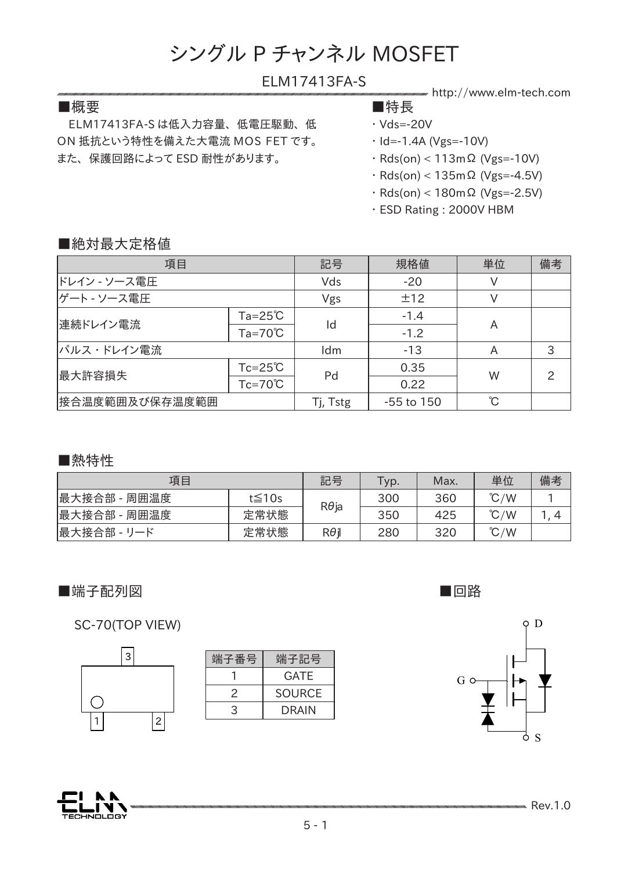## ELM17413FA-S

## ■概要 ■特長

 ELM17413FA-S は低入力容量、 低電圧駆動、 低 ON 抵抗という特性を備えた大電流 MOS FET です。 また、 保護回路によって ESD 耐性があります。

- http://www.elm-tech.com
- ・ Vds=-20V
- $\cdot$  Id=-1.4A (Vgs=-10V)
- ・ Rds(on) < 113mΩ (Vgs=-10V)
- ・ Rds(on) < 135mΩ (Vgs=-4.5V)
- ・ Rds(on) < 180mΩ (Vgs=-2.5V)
- ・ ESD Rating : 2000V HBM

## ■絶対最大定格値

| 項目             |                    | 記号       | 規格値            | 単位 | 備考             |
|----------------|--------------------|----------|----------------|----|----------------|
| ドレイン - ソース電圧   |                    | Vds      | $-20$          |    |                |
| ゲート - ソース電圧    |                    | Vgs      | ±12            |    |                |
| 連続ドレイン電流       | $Ta = 25^{\circ}C$ |          | $-1.4$         |    |                |
|                | $Ta=70^{\circ}C$   | Id       | $-1.2$         | A  |                |
| パルス・ドレイン電流     |                    | Idm      | $-13$          | A  | 3              |
| 最大許容損失         | $Tc = 25^{\circ}C$ |          | 0.35           |    | $\overline{2}$ |
|                | $Tc=70^{\circ}C$   | Pd       | 0.22           | W  |                |
| 接合温度範囲及び保存温度範囲 |                    | Tj, Tstg | $-55$ to $150$ | °C |                |

■熱特性

| 項目           |              | 記号           | Typ. | Max. | 単位            | 備考 |
|--------------|--------------|--------------|------|------|---------------|----|
| 最大接合部 - 周囲温度 | $t \leq 10s$ |              | 300  | 360  | $\degree$ C/W |    |
| 最大接合部 - 周囲温度 | 定常状態         | $R\theta$ ja | 350  | 425  | $\degree$ C/W |    |
| 最大接合部 - リード  | 定常状態         | $R\theta$ i  | 280  | 320  | $\degree$ C/W |    |

# ■端子配列図 ■回路

SC-70(TOP VIEW)

| 3 |                |
|---|----------------|
|   |                |
|   |                |
|   | $\overline{c}$ |

| 端子番号 | 端子記号          |  |  |
|------|---------------|--|--|
|      | GATF          |  |  |
| 2    | <b>SOURCE</b> |  |  |
| 3    | <b>DRAIN</b>  |  |  |



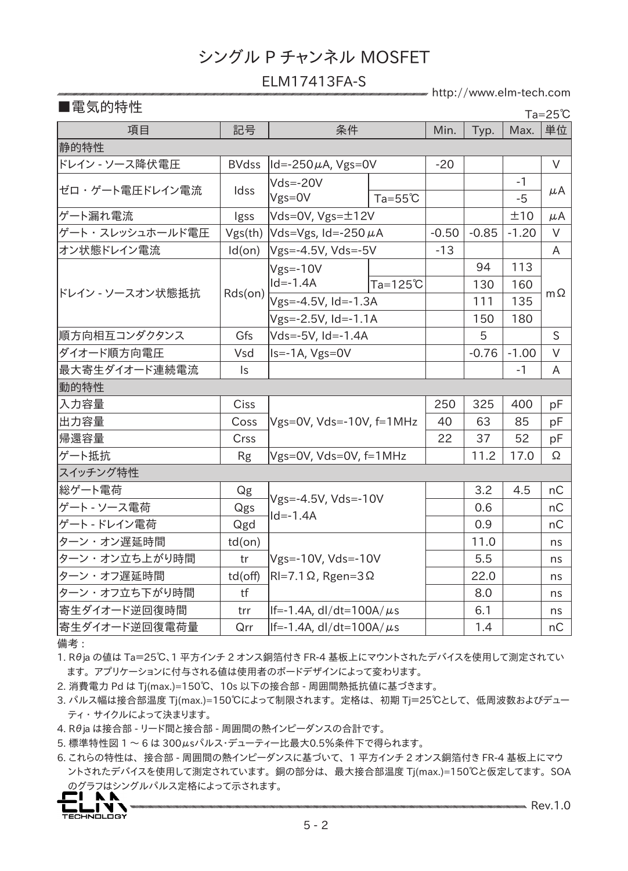#### ELM17413FA-S

http://www.elm-tech.com

項目 | 記号 | 条件 | Min. | Typ. | Max. |単位 静的特性 ドレイン - ソース降伏電圧 BVdss Id=-250μA, Vgs=0V -20 V ゼロ・ゲート電圧ドレイン電流 ddss Vds=-20V Vgs=0V -1 μA  $Ta = 55°C$   $\vert$   $\vert$  -5 ゲート漏れ電流 | Igss |Vds=0V, Vgs=±12V | | | ±10 | μA ゲート・スレッシュホールド電圧 |Vgs(th) |Vds=Vgs, Id=-250 μA | -0.50 | -0.85 | -1.20 | V オン状態ドレイン電流 | Id(on) |Vgs=-4.5V, Vds=-5V | -13 | | | | A ドレイン - ソースオン状態抵抗 Rds(on) Vgs=-10V  $|Id = -1.4A$ 94 113  $\begin{array}{|c|c|c|c|c|}\n\hline\n\text{A} & & & 130 & 160 \\
\hline\n\text{A} & & & 111 & 135 \\
\hline\n\end{array}$  m  $\Omega$ Vgs=-4.5V, Id=-1.3A Vgs=-2.5V, Id=-1.1A 150 | 180 順方向相互コンダクタンス | Gfs |Vds=-5V, Id=-1.4A | | 5 | | S |ダイオード順方向電圧 | Vsd ||s=-1A, Vgs=0V | |-0.76 |-1.00 | V 最大寄生ダイオード連続電流 | Is | -1 A 動的特性 入力容量 Ciss 出力容量 | Coss |Vgs=0V, Vds=-10V, f=1MHz | 40 | 63 | 85 | pF  $250$  | 325 | 400 | pF 帰還容量 | Crss | | 22 | 37 | 52 | pF ゲート抵抗 | Rg |Vgs=0V, Vds=0V, f=1MHz | | 11.2 | 17.0 | Ω スイッチング特性 総ゲート電荷 Qg Vgs=-4.5V, Vds=-10V  $Id = -1.4A$  $3.2$  | 4.5 | nC ゲート - ソース電荷 Qgs 0.6 nC ゲート - ドレイン電荷 Qgd 0.9 nC ターン・オン遅延時間 | td(on) Vgs=-10V, Vds=-10V ターン・オフ遅延時間 | td(off) |RI=7.1Ω, Rgen=3Ω | | 22.0 | | ns  $11.0$  | ns ターン・オン立ち上がり時間 | tr |Vgs=-10V, Vds=-10V | | 5.5 | | ns ターン・オフ立ち下がり時間 | tf | | | 8.0 | | ns |寄生ダイオード逆回復時間 | trr ||f=-1.4A, dl/dt=100A/μs | | 6.1 | | ns |寄生ダイオード逆回復電荷量 | Qrr ||f=-1.4A, dl/dt=100A/μs | | 1.4 | | nC Ta=25℃

備考 :

1. Rθja の値は Ta=25℃、1 平方インチ 2 オンス銅箔付き FR-4 基板上にマウントされたデバイスを使用して測定されてい ます。 アプリケーションに付与される値は使用者のボードデザインによって変わります。

2. 消費電力 Pd は Tj(max.)=150℃、 10s 以下の接合部 - 周囲間熱抵抗値に基づきます。

- 3. パルス幅は接合部温度 Tj(max.)=150℃によって制限されます。 定格は、 初期 Tj=25℃として、 低周波数およびデュー ティ ・ サイクルによって決まります。
- 4. Rθja は接合部 リード間と接合部 周囲間の熱インピーダンスの合計です。

5. 標準特性図 1 ~ 6 は 300μsパルス・デューティー比最大0.5%条件下で得られます。

6. これらの特性は、 接合部 - 周囲間の熱インピーダンスに基づいて、 1 平方インチ 2 オンス銅箔付き FR-4 基板上にマウ ントされたデバイスを使用して測定されています。 銅の部分は、 最大接合部温度 Tj(max.)=150℃と仮定してます。 SOA のグラフはシングルパルス定格によって示されます。

**NV** LOLOU V V<br>Technology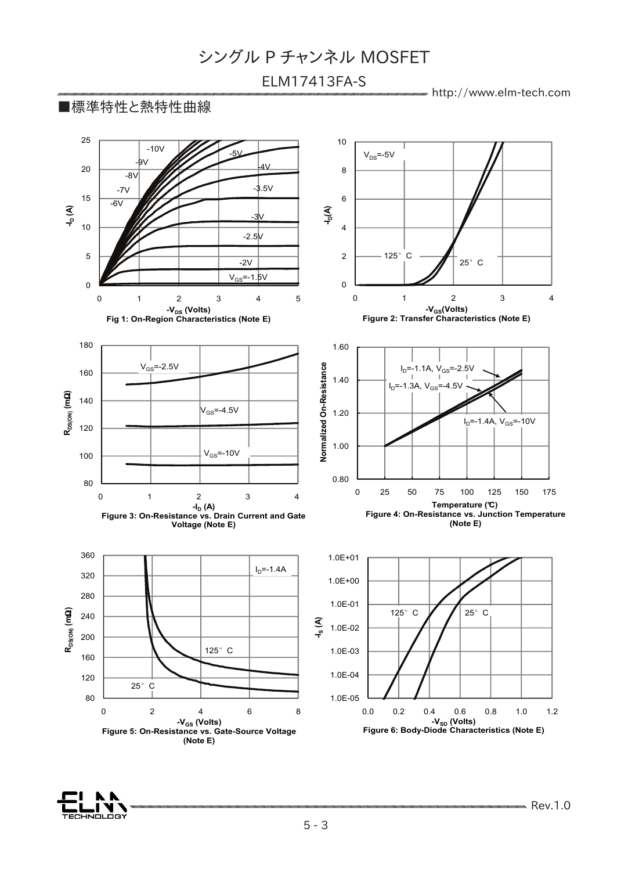# ELM17413FA-S

http://www.elm-tech.com

## ■標準特性と熱特性曲線



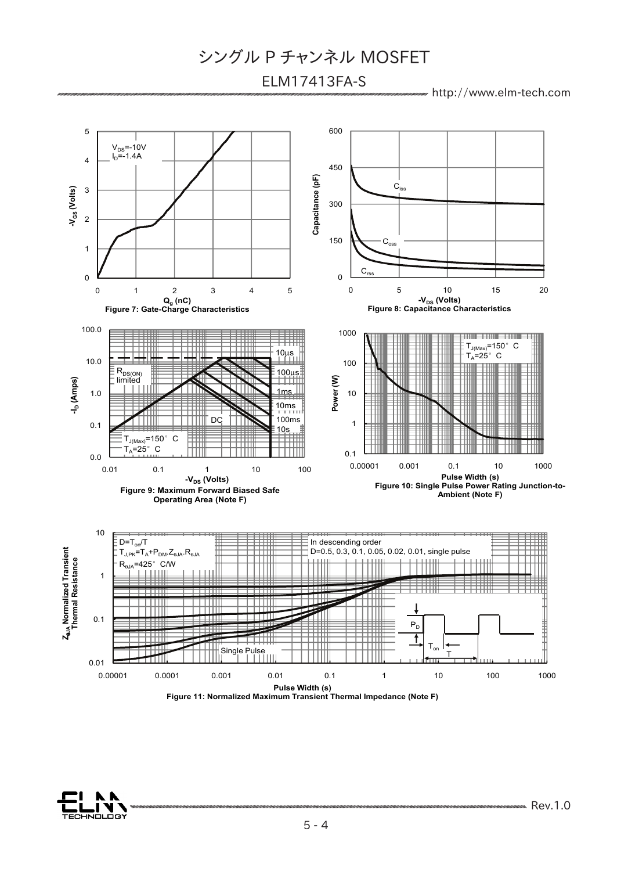# ELM17413FA-S

http://www.elm-tech.com